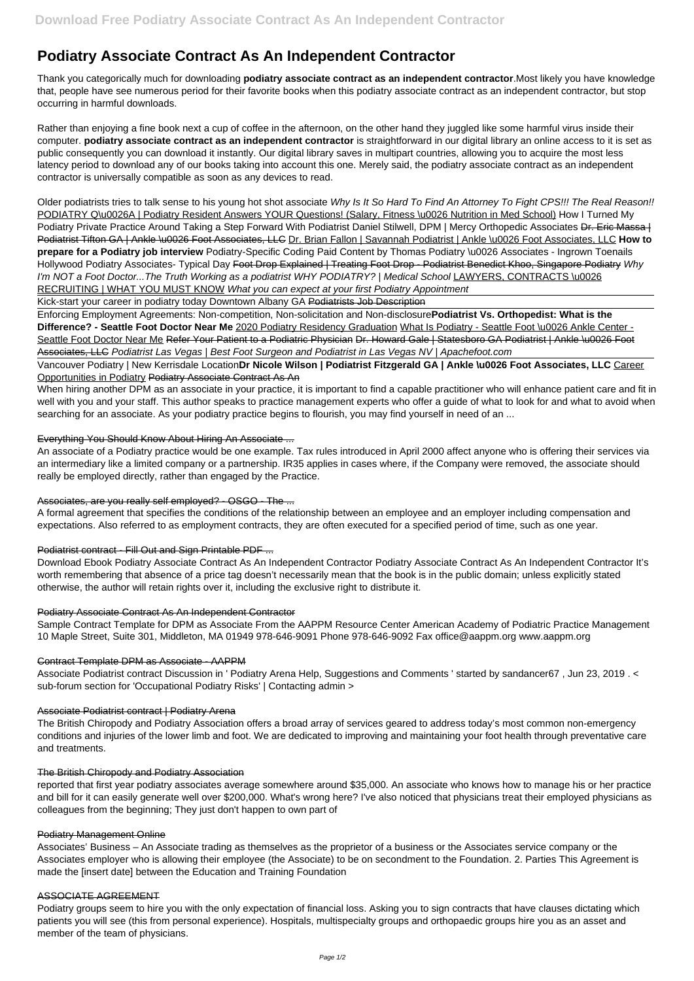# **Podiatry Associate Contract As An Independent Contractor**

Thank you categorically much for downloading **podiatry associate contract as an independent contractor**.Most likely you have knowledge that, people have see numerous period for their favorite books when this podiatry associate contract as an independent contractor, but stop occurring in harmful downloads.

Rather than enjoying a fine book next a cup of coffee in the afternoon, on the other hand they juggled like some harmful virus inside their computer. **podiatry associate contract as an independent contractor** is straightforward in our digital library an online access to it is set as public consequently you can download it instantly. Our digital library saves in multipart countries, allowing you to acquire the most less latency period to download any of our books taking into account this one. Merely said, the podiatry associate contract as an independent contractor is universally compatible as soon as any devices to read.

Older podiatrists tries to talk sense to his young hot shot associate Why Is It So Hard To Find An Attorney To Fight CPS!!! The Real Reason!! PODIATRY Q\u0026A | Podiatry Resident Answers YOUR Questions! (Salary, Fitness \u0026 Nutrition in Med School) How I Turned My Podiatry Private Practice Around Taking a Step Forward With Podiatrist Daniel Stilwell, DPM | Mercy Orthopedic Associates Dr. Eric Massa | Podiatrist Tifton GA | Ankle \u0026 Foot Associates, LLC Dr. Brian Fallon | Savannah Podiatrist | Ankle \u0026 Foot Associates, LLC **How to prepare for a Podiatry job interview** Podiatry-Specific Coding Paid Content by Thomas Podiatry \u0026 Associates - Ingrown Toenails Hollywood Podiatry Associates- Typical Day Foot Drop Explained | Treating Foot Drop - Podiatrist Benedict Khoo, Singapore Podiatry Why I'm NOT a Foot Doctor...The Truth Working as a podiatrist WHY PODIATRY? | Medical School LAWYERS, CONTRACTS \u0026 RECRUITING | WHAT YOU MUST KNOW What you can expect at your first Podiatry Appointment

When hiring another DPM as an associate in your practice, it is important to find a capable practitioner who will enhance patient care and fit in well with you and your staff. This author speaks to practice management experts who offer a guide of what to look for and what to avoid when searching for an associate. As your podiatry practice begins to flourish, you may find yourself in need of an ...

Kick-start your career in podiatry today Downtown Albany GA Podiatrists Job Description

Enforcing Employment Agreements: Non-competition, Non-solicitation and Non-disclosure**Podiatrist Vs. Orthopedist: What is the Difference? - Seattle Foot Doctor Near Me** 2020 Podiatry Residency Graduation What Is Podiatry - Seattle Foot \u0026 Ankle Center - Seattle Foot Doctor Near Me Refer Your Patient to a Podiatric Physician Dr. Howard Gale | Statesboro GA Podiatrist | Ankle \u0026 Foot Associates, LLC Podiatrist Las Vegas | Best Foot Surgeon and Podiatrist in Las Vegas NV | Apachefoot.com

Vancouver Podiatry | New Kerrisdale Location**Dr Nicole Wilson | Podiatrist Fitzgerald GA | Ankle \u0026 Foot Associates, LLC** Career Opportunities in Podiatry Podiatry Associate Contract As An

# Everything You Should Know About Hiring An Associate ...

An associate of a Podiatry practice would be one example. Tax rules introduced in April 2000 affect anyone who is offering their services via an intermediary like a limited company or a partnership. IR35 applies in cases where, if the Company were removed, the associate should really be employed directly, rather than engaged by the Practice.

# Associates, are you really self employed? - OSGO - The ...

A formal agreement that specifies the conditions of the relationship between an employee and an employer including compensation and expectations. Also referred to as employment contracts, they are often executed for a specified period of time, such as one year.

# Podiatrist contract - Fill Out and Sign Printable PDF ...

Download Ebook Podiatry Associate Contract As An Independent Contractor Podiatry Associate Contract As An Independent Contractor It's worth remembering that absence of a price tag doesn't necessarily mean that the book is in the public domain; unless explicitly stated otherwise, the author will retain rights over it, including the exclusive right to distribute it.

# Podiatry Associate Contract As An Independent Contractor

Sample Contract Template for DPM as Associate From the AAPPM Resource Center American Academy of Podiatric Practice Management 10 Maple Street, Suite 301, Middleton, MA 01949 978-646-9091 Phone 978-646-9092 Fax office@aappm.org www.aappm.org

# Contract Template DPM as Associate - AAPPM

Associate Podiatrist contract Discussion in ' Podiatry Arena Help, Suggestions and Comments ' started by sandancer67 , Jun 23, 2019 . < sub-forum section for 'Occupational Podiatry Risks' | Contacting admin >

# Associate Podiatrist contract | Podiatry Arena

The British Chiropody and Podiatry Association offers a broad array of services geared to address today's most common non-emergency conditions and injuries of the lower limb and foot. We are dedicated to improving and maintaining your foot health through preventative care

and treatments.

#### The British Chiropody and Podiatry Association

reported that first year podiatry associates average somewhere around \$35,000. An associate who knows how to manage his or her practice and bill for it can easily generate well over \$200,000. What's wrong here? I've also noticed that physicians treat their employed physicians as colleagues from the beginning; They just don't happen to own part of

#### Podiatry Management Online

Associates' Business – An Associate trading as themselves as the proprietor of a business or the Associates service company or the Associates employer who is allowing their employee (the Associate) to be on secondment to the Foundation. 2. Parties This Agreement is made the [insert date] between the Education and Training Foundation

#### ASSOCIATE AGREEMENT

Podiatry groups seem to hire you with the only expectation of financial loss. Asking you to sign contracts that have clauses dictating which patients you will see (this from personal experience). Hospitals, multispecialty groups and orthopaedic groups hire you as an asset and member of the team of physicians.